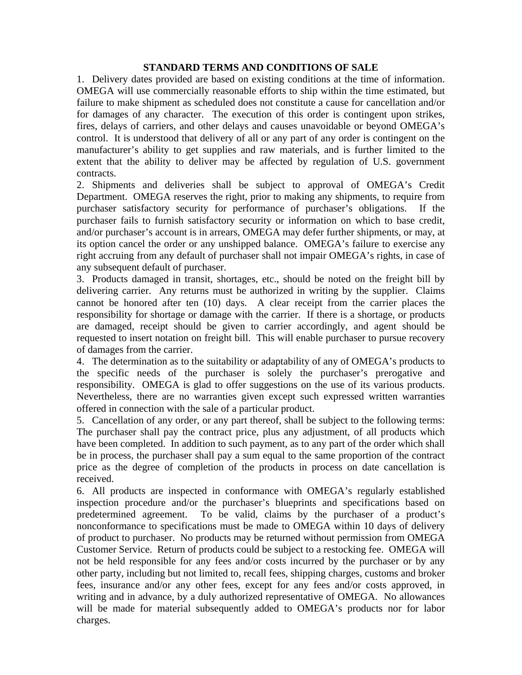## **STANDARD TERMS AND CONDITIONS OF SALE**

1. Delivery dates provided are based on existing conditions at the time of information. OMEGA will use commercially reasonable efforts to ship within the time estimated, but failure to make shipment as scheduled does not constitute a cause for cancellation and/or for damages of any character. The execution of this order is contingent upon strikes, fires, delays of carriers, and other delays and causes unavoidable or beyond OMEGA's control. It is understood that delivery of all or any part of any order is contingent on the manufacturer's ability to get supplies and raw materials, and is further limited to the extent that the ability to deliver may be affected by regulation of U.S. government contracts.

2. Shipments and deliveries shall be subject to approval of OMEGA's Credit Department. OMEGA reserves the right, prior to making any shipments, to require from purchaser satisfactory security for performance of purchaser's obligations. If the purchaser fails to furnish satisfactory security or information on which to base credit, and/or purchaser's account is in arrears, OMEGA may defer further shipments, or may, at its option cancel the order or any unshipped balance. OMEGA's failure to exercise any right accruing from any default of purchaser shall not impair OMEGA's rights, in case of any subsequent default of purchaser.

3. Products damaged in transit, shortages, etc., should be noted on the freight bill by delivering carrier. Any returns must be authorized in writing by the supplier. Claims cannot be honored after ten (10) days. A clear receipt from the carrier places the responsibility for shortage or damage with the carrier. If there is a shortage, or products are damaged, receipt should be given to carrier accordingly, and agent should be requested to insert notation on freight bill. This will enable purchaser to pursue recovery of damages from the carrier.

4. The determination as to the suitability or adaptability of any of OMEGA's products to the specific needs of the purchaser is solely the purchaser's prerogative and responsibility. OMEGA is glad to offer suggestions on the use of its various products. Nevertheless, there are no warranties given except such expressed written warranties offered in connection with the sale of a particular product.

5. Cancellation of any order, or any part thereof, shall be subject to the following terms: The purchaser shall pay the contract price, plus any adjustment, of all products which have been completed. In addition to such payment, as to any part of the order which shall be in process, the purchaser shall pay a sum equal to the same proportion of the contract price as the degree of completion of the products in process on date cancellation is received.

6. All products are inspected in conformance with OMEGA's regularly established inspection procedure and/or the purchaser's blueprints and specifications based on predetermined agreement. To be valid, claims by the purchaser of a product's nonconformance to specifications must be made to OMEGA within 10 days of delivery of product to purchaser. No products may be returned without permission from OMEGA Customer Service. Return of products could be subject to a restocking fee. OMEGA will not be held responsible for any fees and/or costs incurred by the purchaser or by any other party, including but not limited to, recall fees, shipping charges, customs and broker fees, insurance and/or any other fees, except for any fees and/or costs approved, in writing and in advance, by a duly authorized representative of OMEGA. No allowances will be made for material subsequently added to OMEGA's products nor for labor charges.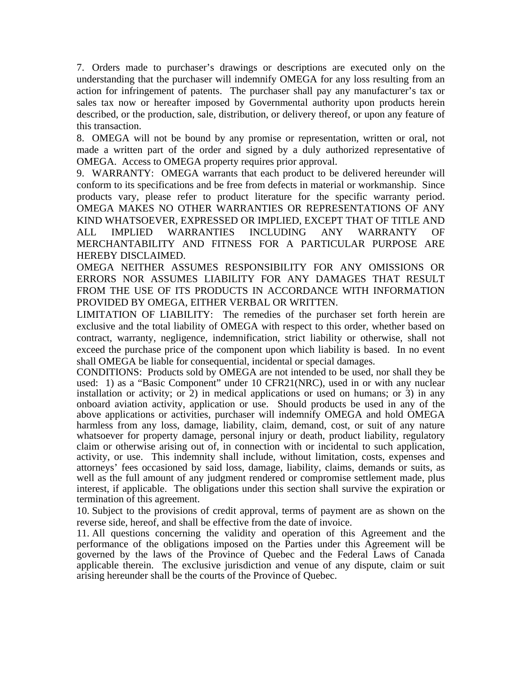7. Orders made to purchaser's drawings or descriptions are executed only on the understanding that the purchaser will indemnify OMEGA for any loss resulting from an action for infringement of patents. The purchaser shall pay any manufacturer's tax or sales tax now or hereafter imposed by Governmental authority upon products herein described, or the production, sale, distribution, or delivery thereof, or upon any feature of this transaction.

8. OMEGA will not be bound by any promise or representation, written or oral, not made a written part of the order and signed by a duly authorized representative of OMEGA. Access to OMEGA property requires prior approval.

9. WARRANTY: OMEGA warrants that each product to be delivered hereunder will conform to its specifications and be free from defects in material or workmanship. Since products vary, please refer to product literature for the specific warranty period. OMEGA MAKES NO OTHER WARRANTIES OR REPRESENTATIONS OF ANY KIND WHATSOEVER, EXPRESSED OR IMPLIED, EXCEPT THAT OF TITLE AND ALL IMPLIED WARRANTIES INCLUDING ANY WARRANTY OF MERCHANTABILITY AND FITNESS FOR A PARTICULAR PURPOSE ARE HEREBY DISCLAIMED.

OMEGA NEITHER ASSUMES RESPONSIBILITY FOR ANY OMISSIONS OR ERRORS NOR ASSUMES LIABILITY FOR ANY DAMAGES THAT RESULT FROM THE USE OF ITS PRODUCTS IN ACCORDANCE WITH INFORMATION PROVIDED BY OMEGA, EITHER VERBAL OR WRITTEN.

LIMITATION OF LIABILITY: The remedies of the purchaser set forth herein are exclusive and the total liability of OMEGA with respect to this order, whether based on contract, warranty, negligence, indemnification, strict liability or otherwise, shall not exceed the purchase price of the component upon which liability is based. In no event shall OMEGA be liable for consequential, incidental or special damages.

CONDITIONS: Products sold by OMEGA are not intended to be used, nor shall they be used: 1) as a "Basic Component" under 10 CFR21(NRC), used in or with any nuclear installation or activity; or  $\overline{2}$ ) in medical applications or used on humans; or  $\overline{3}$ ) in any onboard aviation activity, application or use. Should products be used in any of the above applications or activities, purchaser will indemnify OMEGA and hold OMEGA harmless from any loss, damage, liability, claim, demand, cost, or suit of any nature whatsoever for property damage, personal injury or death, product liability, regulatory claim or otherwise arising out of, in connection with or incidental to such application, activity, or use. This indemnity shall include, without limitation, costs, expenses and attorneys' fees occasioned by said loss, damage, liability, claims, demands or suits, as well as the full amount of any judgment rendered or compromise settlement made, plus interest, if applicable. The obligations under this section shall survive the expiration or termination of this agreement.

10. Subject to the provisions of credit approval, terms of payment are as shown on the reverse side, hereof, and shall be effective from the date of invoice.

11. All questions concerning the validity and operation of this Agreement and the performance of the obligations imposed on the Parties under this Agreement will be governed by the laws of the Province of Quebec and the Federal Laws of Canada applicable therein. The exclusive jurisdiction and venue of any dispute, claim or suit arising hereunder shall be the courts of the Province of Quebec.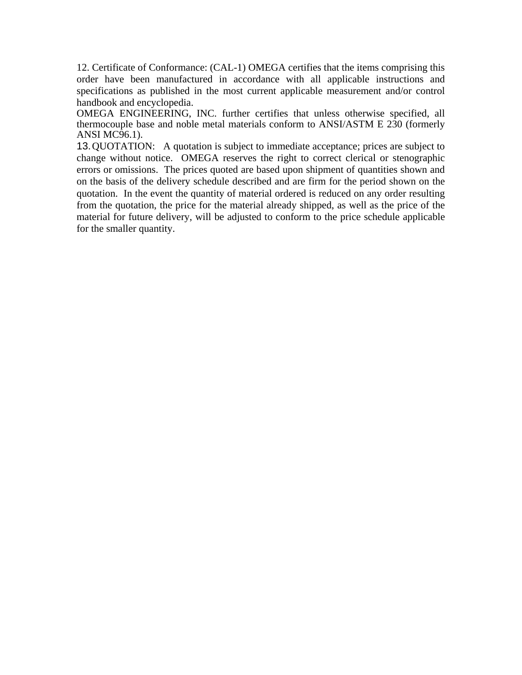12. Certificate of Conformance: (CAL-1) OMEGA certifies that the items comprising this order have been manufactured in accordance with all applicable instructions and specifications as published in the most current applicable measurement and/or control handbook and encyclopedia.

OMEGA ENGINEERING, INC. further certifies that unless otherwise specified, all thermocouple base and noble metal materials conform to ANSI/ASTM E 230 (formerly ANSI MC96.1).

13. QUOTATION: A quotation is subject to immediate acceptance; prices are subject to change without notice. OMEGA reserves the right to correct clerical or stenographic errors or omissions. The prices quoted are based upon shipment of quantities shown and on the basis of the delivery schedule described and are firm for the period shown on the quotation. In the event the quantity of material ordered is reduced on any order resulting from the quotation, the price for the material already shipped, as well as the price of the material for future delivery, will be adjusted to conform to the price schedule applicable for the smaller quantity.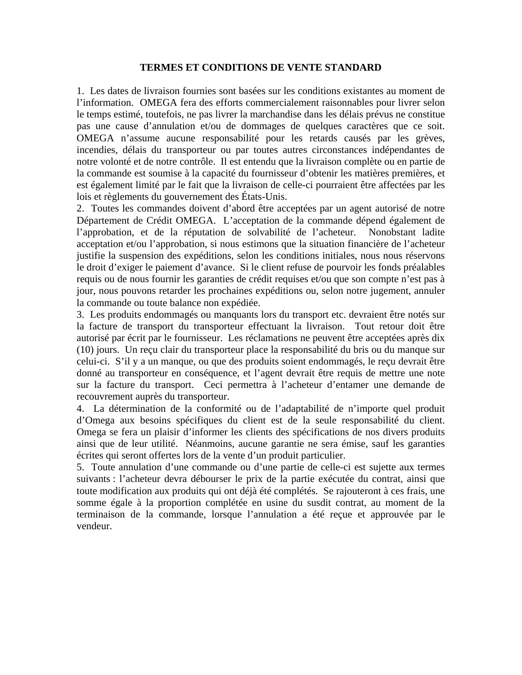## **TERMES ET CONDITIONS DE VENTE STANDARD**

1. Les dates de livraison fournies sont basées sur les conditions existantes au moment de l'information. OMEGA fera des efforts commercialement raisonnables pour livrer selon le temps estimé, toutefois, ne pas livrer la marchandise dans les délais prévus ne constitue pas une cause d'annulation et/ou de dommages de quelques caractères que ce soit. OMEGA n'assume aucune responsabilité pour les retards causés par les grèves, incendies, délais du transporteur ou par toutes autres circonstances indépendantes de notre volonté et de notre contrôle. Il est entendu que la livraison complète ou en partie de la commande est soumise à la capacité du fournisseur d'obtenir les matières premières, et est également limité par le fait que la livraison de celle-ci pourraient être affectées par les lois et règlements du gouvernement des États-Unis.

2. Toutes les commandes doivent d'abord être acceptées par un agent autorisé de notre Département de Crédit OMEGA. L'acceptation de la commande dépend également de l'approbation, et de la réputation de solvabilité de l'acheteur. Nonobstant ladite acceptation et/ou l'approbation, si nous estimons que la situation financière de l'acheteur justifie la suspension des expéditions, selon les conditions initiales, nous nous réservons le droit d'exiger le paiement d'avance. Si le client refuse de pourvoir les fonds préalables requis ou de nous fournir les garanties de crédit requises et/ou que son compte n'est pas à jour, nous pouvons retarder les prochaines expéditions ou, selon notre jugement, annuler la commande ou toute balance non expédiée.

3. Les produits endommagés ou manquants lors du transport etc. devraient être notés sur la facture de transport du transporteur effectuant la livraison. Tout retour doit être autorisé par écrit par le fournisseur. Les réclamations ne peuvent être acceptées après dix (10) jours. Un reçu clair du transporteur place la responsabilité du bris ou du manque sur celui-ci. S'il y a un manque, ou que des produits soient endommagés, le reçu devrait être donné au transporteur en conséquence, et l'agent devrait être requis de mettre une note sur la facture du transport. Ceci permettra à l'acheteur d'entamer une demande de recouvrement auprès du transporteur.

4. La détermination de la conformité ou de l'adaptabilité de n'importe quel produit d'Omega aux besoins spécifiques du client est de la seule responsabilité du client. Omega se fera un plaisir d'informer les clients des spécifications de nos divers produits ainsi que de leur utilité. Néanmoins, aucune garantie ne sera émise, sauf les garanties écrites qui seront offertes lors de la vente d'un produit particulier.

5. Toute annulation d'une commande ou d'une partie de celle-ci est sujette aux termes suivants : l'acheteur devra débourser le prix de la partie exécutée du contrat, ainsi que toute modification aux produits qui ont déjà été complétés. Se rajouteront à ces frais, une somme égale à la proportion complétée en usine du susdit contrat, au moment de la terminaison de la commande, lorsque l'annulation a été reçue et approuvée par le vendeur.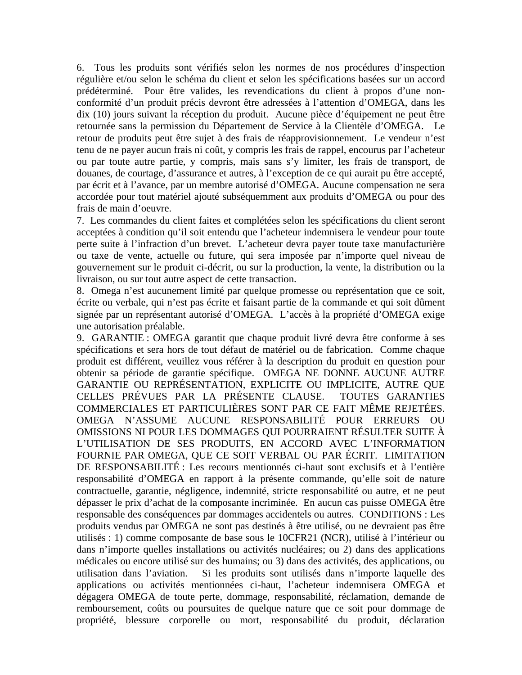6. Tous les produits sont vérifiés selon les normes de nos procédures d'inspection régulière et/ou selon le schéma du client et selon les spécifications basées sur un accord prédéterminé. Pour être valides, les revendications du client à propos d'une nonconformité d'un produit précis devront être adressées à l'attention d'OMEGA, dans les dix (10) jours suivant la réception du produit. Aucune pièce d'équipement ne peut être retournée sans la permission du Département de Service à la Clientèle d'OMEGA. Le retour de produits peut être sujet à des frais de réapprovisionnement. Le vendeur n'est tenu de ne payer aucun frais ni coût, y compris les frais de rappel, encourus par l'acheteur ou par toute autre partie, y compris, mais sans s'y limiter, les frais de transport, de douanes, de courtage, d'assurance et autres, à l'exception de ce qui aurait pu être accepté, par écrit et à l'avance, par un membre autorisé d'OMEGA. Aucune compensation ne sera accordée pour tout matériel ajouté subséquemment aux produits d'OMEGA ou pour des frais de main d'oeuvre.

7. Les commandes du client faites et complétées selon les spécifications du client seront acceptées à condition qu'il soit entendu que l'acheteur indemnisera le vendeur pour toute perte suite à l'infraction d'un brevet. L'acheteur devra payer toute taxe manufacturière ou taxe de vente, actuelle ou future, qui sera imposée par n'importe quel niveau de gouvernement sur le produit ci-décrit, ou sur la production, la vente, la distribution ou la livraison, ou sur tout autre aspect de cette transaction.

8. Omega n'est aucunement limité par quelque promesse ou représentation que ce soit, écrite ou verbale, qui n'est pas écrite et faisant partie de la commande et qui soit dûment signée par un représentant autorisé d'OMEGA. L'accès à la propriété d'OMEGA exige une autorisation préalable.

9. GARANTIE : OMEGA garantit que chaque produit livré devra être conforme à ses spécifications et sera hors de tout défaut de matériel ou de fabrication. Comme chaque produit est différent, veuillez vous référer à la description du produit en question pour obtenir sa période de garantie spécifique. OMEGA NE DONNE AUCUNE AUTRE GARANTIE OU REPRÉSENTATION, EXPLICITE OU IMPLICITE, AUTRE QUE CELLES PRÉVUES PAR LA PRÉSENTE CLAUSE. TOUTES GARANTIES COMMERCIALES ET PARTICULIÈRES SONT PAR CE FAIT MÊME REJETÉES. OMEGA N'ASSUME AUCUNE RESPONSABILITÉ POUR ERREURS OU OMISSIONS NI POUR LES DOMMAGES QUI POURRAIENT RÉSULTER SUITE À L'UTILISATION DE SES PRODUITS, EN ACCORD AVEC L'INFORMATION FOURNIE PAR OMEGA, QUE CE SOIT VERBAL OU PAR ÉCRIT. LIMITATION DE RESPONSABILITÉ : Les recours mentionnés ci-haut sont exclusifs et à l'entière responsabilité d'OMEGA en rapport à la présente commande, qu'elle soit de nature contractuelle, garantie, négligence, indemnité, stricte responsabilité ou autre, et ne peut dépasser le prix d'achat de la composante incriminée. En aucun cas puisse OMEGA être responsable des conséquences par dommages accidentels ou autres. CONDITIONS : Les produits vendus par OMEGA ne sont pas destinés à être utilisé, ou ne devraient pas être utilisés : 1) comme composante de base sous le 10CFR21 (NCR), utilisé à l'intérieur ou dans n'importe quelles installations ou activités nucléaires; ou 2) dans des applications médicales ou encore utilisé sur des humains; ou 3) dans des activités, des applications, ou utilisation dans l'aviation. Si les produits sont utilisés dans n'importe laquelle des applications ou activités mentionnées ci-haut, l'acheteur indemnisera OMEGA et dégagera OMEGA de toute perte, dommage, responsabilité, réclamation, demande de remboursement, coûts ou poursuites de quelque nature que ce soit pour dommage de propriété, blessure corporelle ou mort, responsabilité du produit, déclaration